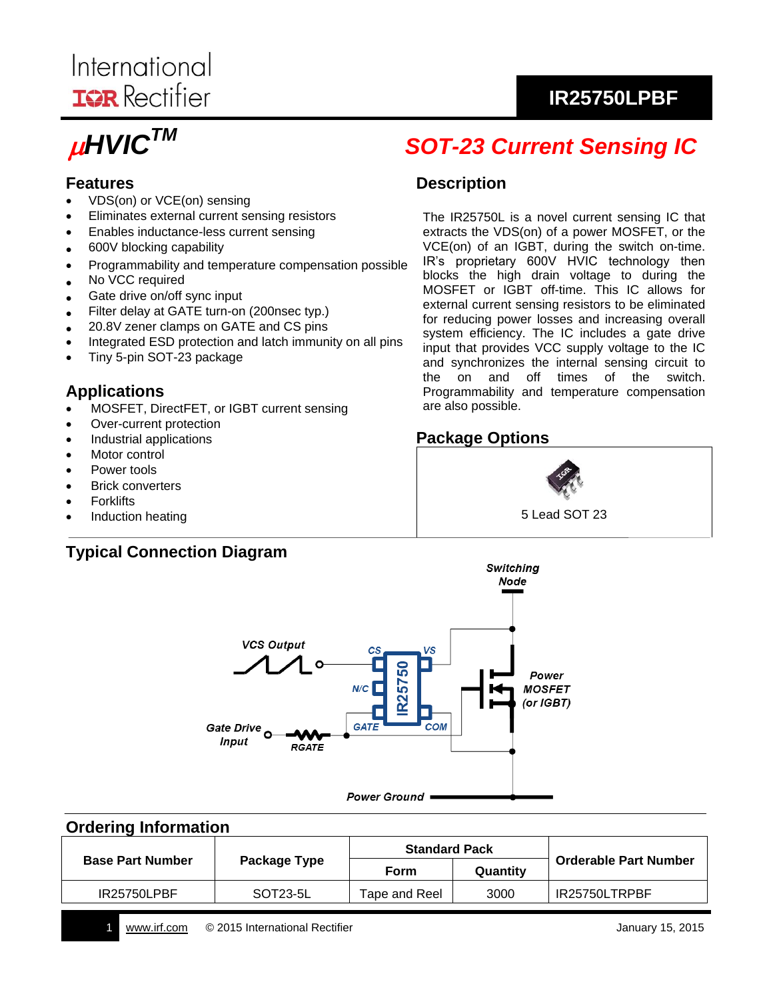# International **IGR** Rectifier

# $\mu$ HVIC $^{TM}$

# *SOT-23 Current Sensing IC*

**IR25750LPBF**

# **Features**

- VDS(on) or VCE(on) sensing
- Eliminates external current sensing resistors
- Enables inductance-less current sensing
- 600V blocking capability
- Programmability and temperature compensation possible
- No VCC required
- Gate drive on/off sync input
- Filter delay at GATE turn-on (200nsec typ.)
- 20.8V zener clamps on GATE and CS pins
- Integrated ESD protection and latch immunity on all pins
- Tiny 5-pin SOT-23 package

#### **Applications**

- MOSFET, DirectFET, or IGBT current sensing
- Over-current protection
- Industrial applications
- Motor control
- Power tools
- Brick converters
- **Forklifts**
- Induction heating

# **Typical Connection Diagram**

#### **Description**

The IR25750L is a novel current sensing IC that extracts the VDS(on) of a power MOSFET, or the VCE(on) of an IGBT, during the switch on-time. IR's proprietary 600V HVIC technology then blocks the high drain voltage to during the MOSFET or IGBT off-time. This IC allows for external current sensing resistors to be eliminated for reducing power losses and increasing overall system efficiency. The IC includes a gate drive input that provides VCC supply voltage to the IC and synchronizes the internal sensing circuit to the on and off times of the switch. Programmability and temperature compensation are also possible.

# **Package Options**





#### **Ordering Information**

|                         |              | <b>Standard Pack</b> |          | <b>Orderable Part Number</b> |
|-------------------------|--------------|----------------------|----------|------------------------------|
| <b>Base Part Number</b> | Package Type | Form                 | Quantity |                              |
| <b>IR25750LPBF</b>      | SOT23-5L     | Tape and Reel        | 3000     | IR25750LTRPBF                |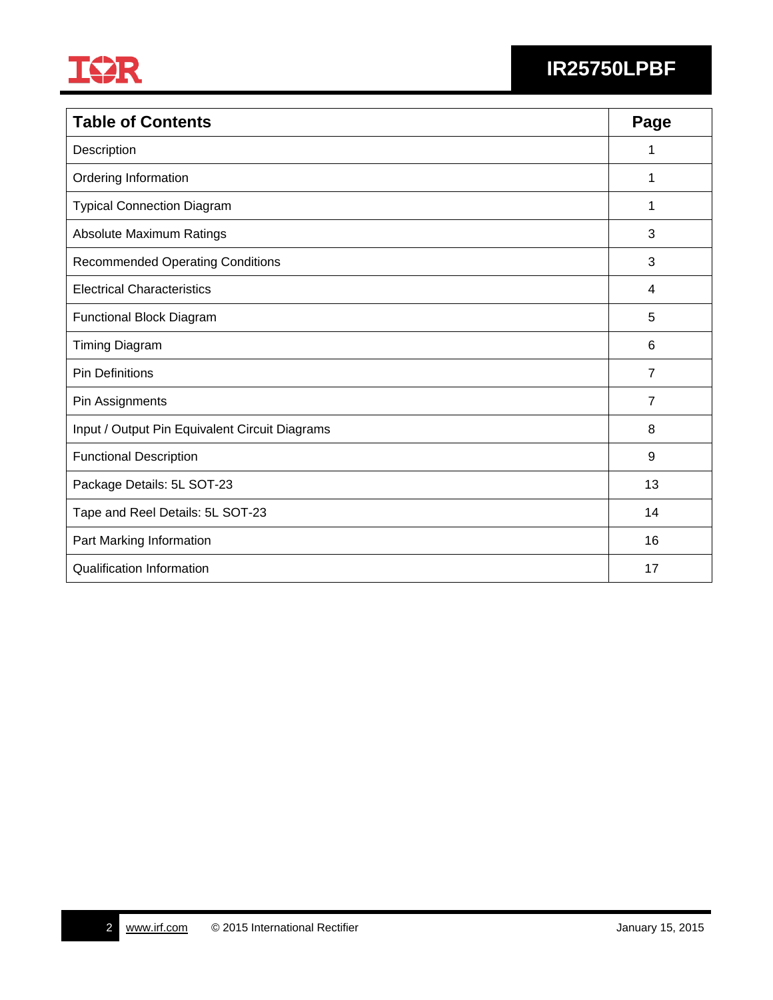

# **IR25750LPBF**

| <b>Table of Contents</b>                       | Page           |
|------------------------------------------------|----------------|
| Description                                    | 1              |
| Ordering Information                           | 1              |
| <b>Typical Connection Diagram</b>              | 1              |
| Absolute Maximum Ratings                       | 3              |
| <b>Recommended Operating Conditions</b>        | 3              |
| <b>Electrical Characteristics</b>              | 4              |
| <b>Functional Block Diagram</b>                | 5              |
| <b>Timing Diagram</b>                          | 6              |
| <b>Pin Definitions</b>                         | $\overline{7}$ |
| Pin Assignments                                | $\overline{7}$ |
| Input / Output Pin Equivalent Circuit Diagrams | 8              |
| <b>Functional Description</b>                  | 9              |
| Package Details: 5L SOT-23                     | 13             |
| Tape and Reel Details: 5L SOT-23               | 14             |
| Part Marking Information                       | 16             |
| <b>Qualification Information</b>               | 17             |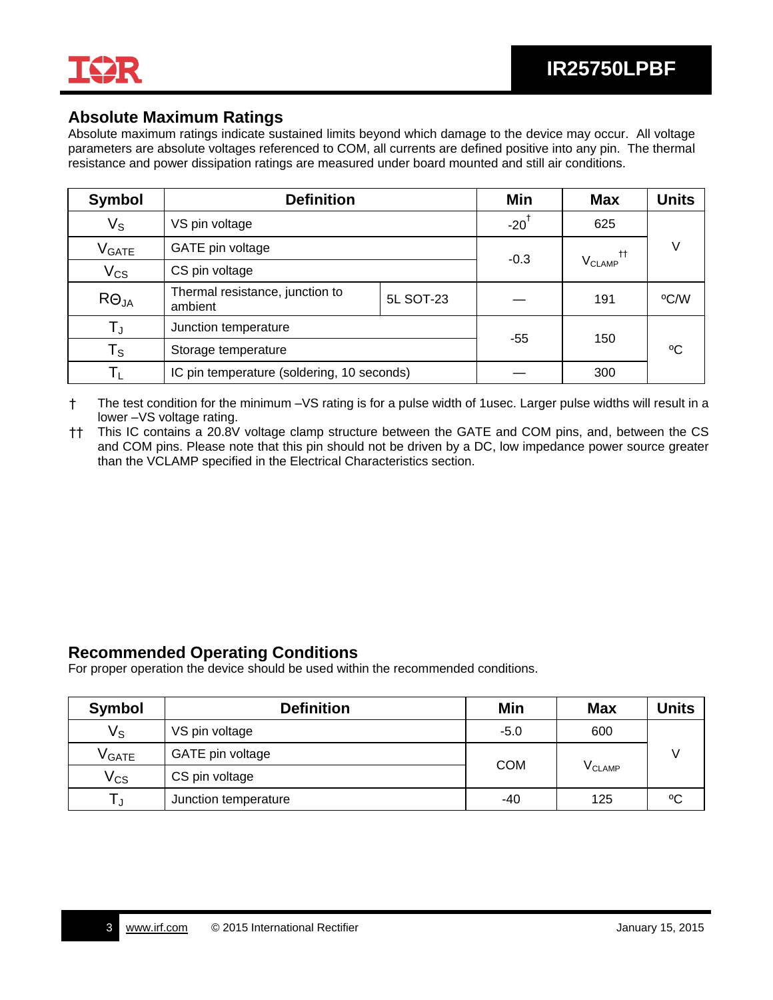

#### **Absolute Maximum Ratings**

Absolute maximum ratings indicate sustained limits beyond which damage to the device may occur. All voltage parameters are absolute voltages referenced to COM, all currents are defined positive into any pin. The thermal resistance and power dissipation ratings are measured under board mounted and still air conditions.

| <b>Symbol</b>           | <b>Definition</b>                          |           | Min                | <b>Max</b>               | <b>Units</b> |
|-------------------------|--------------------------------------------|-----------|--------------------|--------------------------|--------------|
| Vs                      | VS pin voltage                             |           | $-20$ <sup>T</sup> | 625                      |              |
| <b>V</b> GATE           | GATE pin voltage                           |           | $-0.3$             |                          |              |
| $V_{CS}$                | CS pin voltage                             |           |                    | <b>V<sub>CLAMP</sub></b> |              |
| $R\Theta_{JA}$          | Thermal resistance, junction to<br>ambient | 5L SOT-23 |                    | 191                      | °C/W         |
| T」                      | Junction temperature                       |           | -55                | 150                      |              |
| $\mathsf{T}_\mathsf{S}$ | Storage temperature                        |           |                    |                          | °C           |
|                         | IC pin temperature (soldering, 10 seconds) |           |                    | 300                      |              |

† The test condition for the minimum –VS rating is for a pulse width of 1usec. Larger pulse widths will result in a lower –VS voltage rating.

†† This IC contains a 20.8V voltage clamp structure between the GATE and COM pins, and, between the CS and COM pins. Please note that this pin should not be driven by a DC, low impedance power source greater than the VCLAMP specified in the Electrical Characteristics section.

#### **Recommended Operating Conditions**

For proper operation the device should be used within the recommended conditions.

| Symbol        | <b>Definition</b>    | Min        | <b>Max</b>  | <b>Units</b> |
|---------------|----------------------|------------|-------------|--------------|
| Vs            | VS pin voltage       | $-5.0$     | 600         |              |
| <b>V</b> GATE | GATE pin voltage     |            |             |              |
| $\rm V_{CS}$  | CS pin voltage       | <b>COM</b> | $V_{CLAMP}$ |              |
|               | Junction temperature | -40        | 125         | °C           |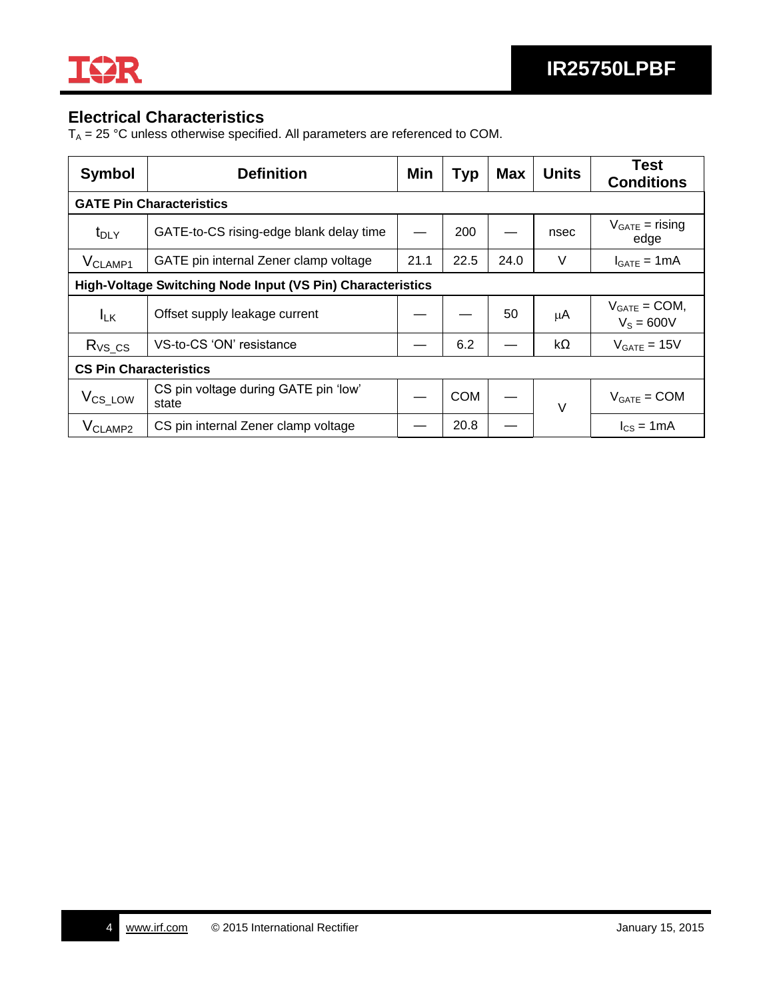

# **Electrical Characteristics**

 $T_A = 25 °C$  unless otherwise specified. All parameters are referenced to COM.

| <b>Symbol</b>                                              | <b>Definition</b>                             | Min  | <b>Typ</b> | <b>Max</b> | <b>Units</b> | <b>Test</b><br><b>Conditions</b>   |  |
|------------------------------------------------------------|-----------------------------------------------|------|------------|------------|--------------|------------------------------------|--|
|                                                            | <b>GATE Pin Characteristics</b>               |      |            |            |              |                                    |  |
| $t_{\text{DLY}}$                                           | GATE-to-CS rising-edge blank delay time       |      | 200        |            | nsec         | $V_{GATE}$ = rising<br>edge        |  |
| V <sub>CLAMP1</sub>                                        | GATE pin internal Zener clamp voltage         | 21.1 | 22.5       | 24.0       | $\vee$       | $I_{GATE} = 1mA$                   |  |
| High-Voltage Switching Node Input (VS Pin) Characteristics |                                               |      |            |            |              |                                    |  |
| $I_{LK}$                                                   | Offset supply leakage current                 |      |            | 50         | μA           | $V_{GATE} = COM$ ,<br>$V_s = 600V$ |  |
| $R_{VS\_CS}$                                               | VS-to-CS 'ON' resistance                      |      | 6.2        |            | kΩ           | $V_{GATE} = 15V$                   |  |
| <b>CS Pin Characteristics</b>                              |                                               |      |            |            |              |                                    |  |
| V <sub>CS_LOW</sub>                                        | CS pin voltage during GATE pin 'low'<br>state |      | <b>COM</b> |            | $\vee$       | $V_{GATE} = COM$                   |  |
| V <sub>CLAMP2</sub>                                        | CS pin internal Zener clamp voltage           |      | 20.8       |            |              | $I_{CS} = 1mA$                     |  |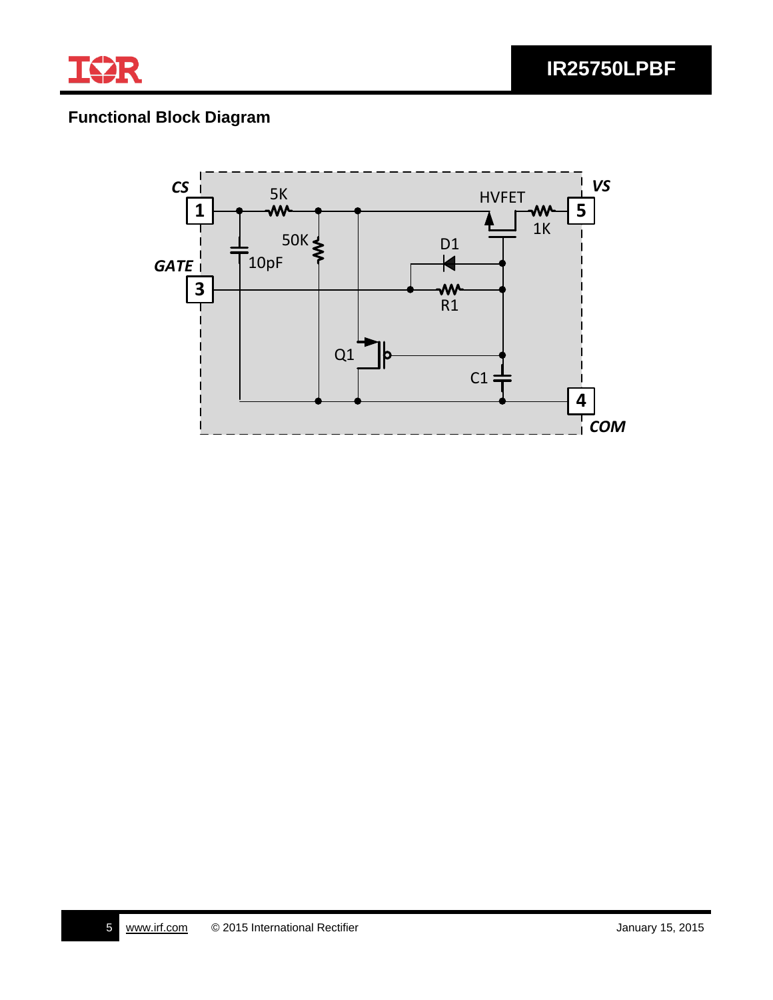

# **Functional Block Diagram**

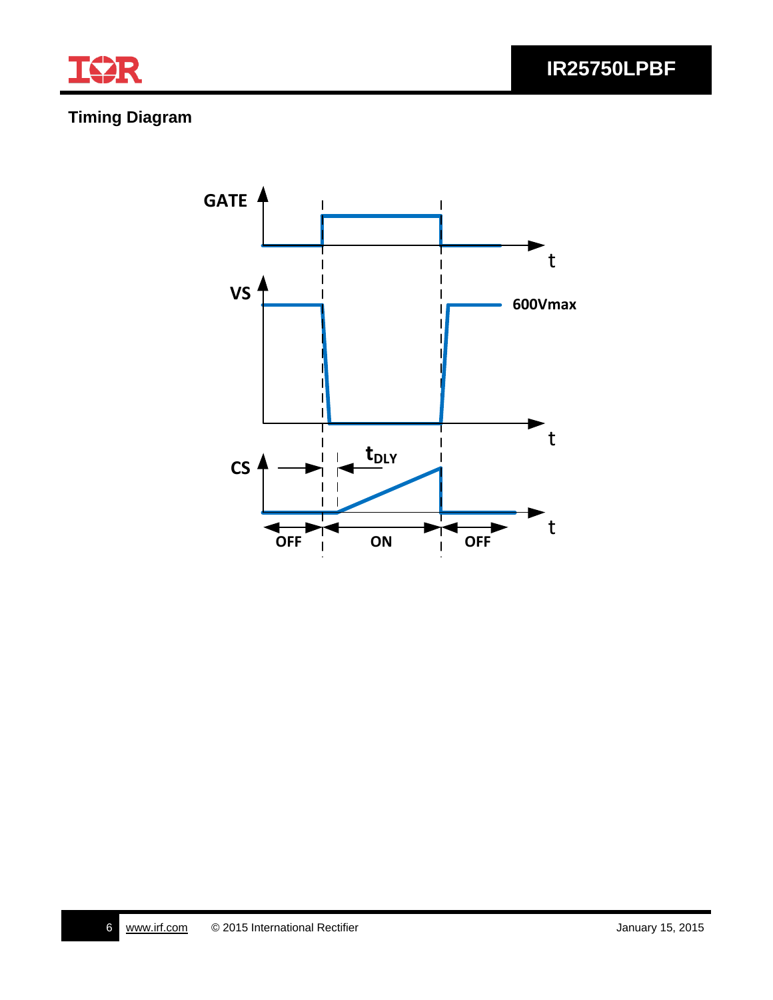

**IR25750LPBF**

# **Timing Diagram**

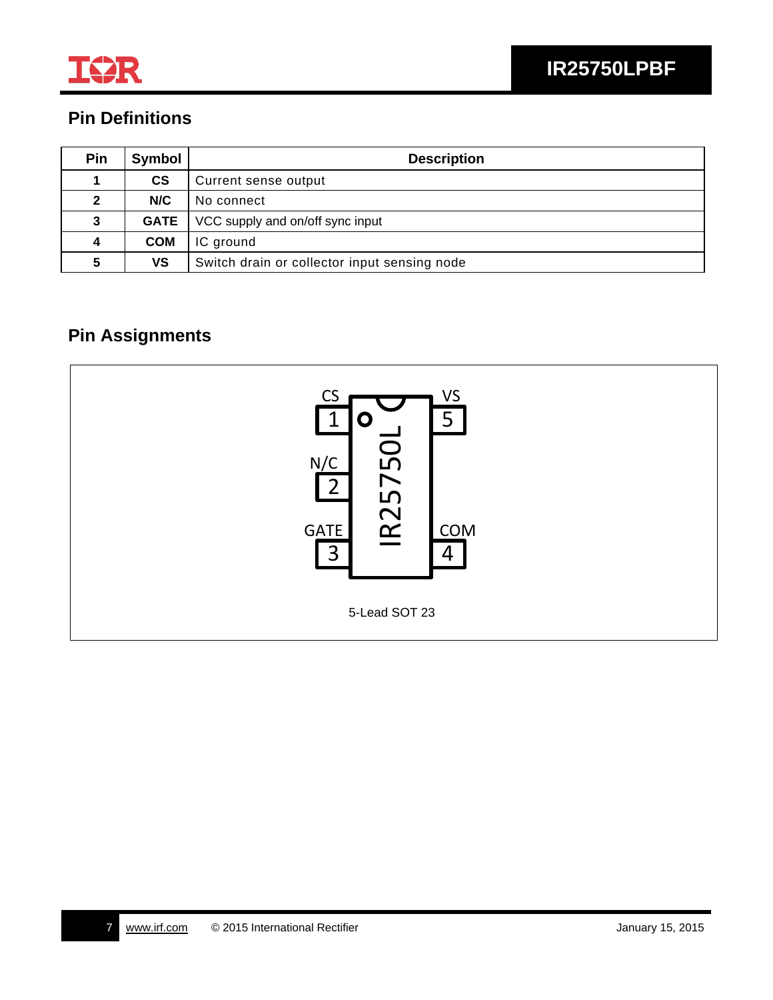

# **Pin Definitions**

| Pin | Symbol        | <b>Description</b>                           |  |  |
|-----|---------------|----------------------------------------------|--|--|
|     | $\mathsf{cs}$ | Current sense output                         |  |  |
| 2   | N/C           | No connect                                   |  |  |
| 3   | <b>GATE</b>   | VCC supply and on/off sync input             |  |  |
| 4   | <b>COM</b>    | IC ground                                    |  |  |
| 5   | VS            | Switch drain or collector input sensing node |  |  |

# **Pin Assignments**

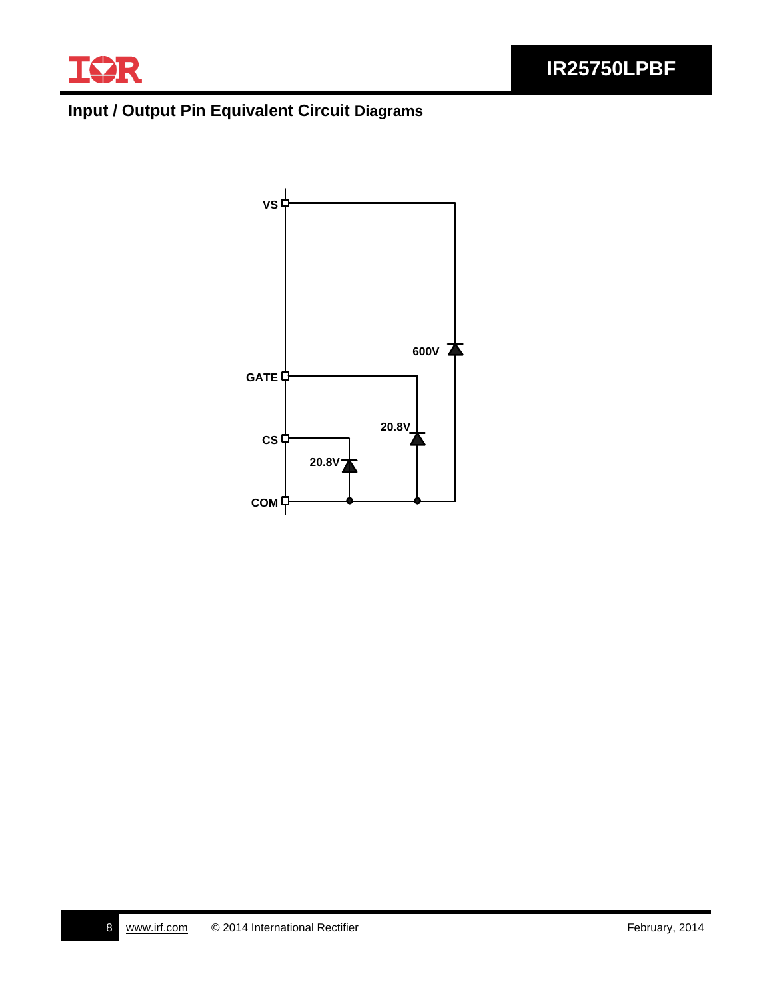

# **Input / Output Pin Equivalent Circuit Diagrams**

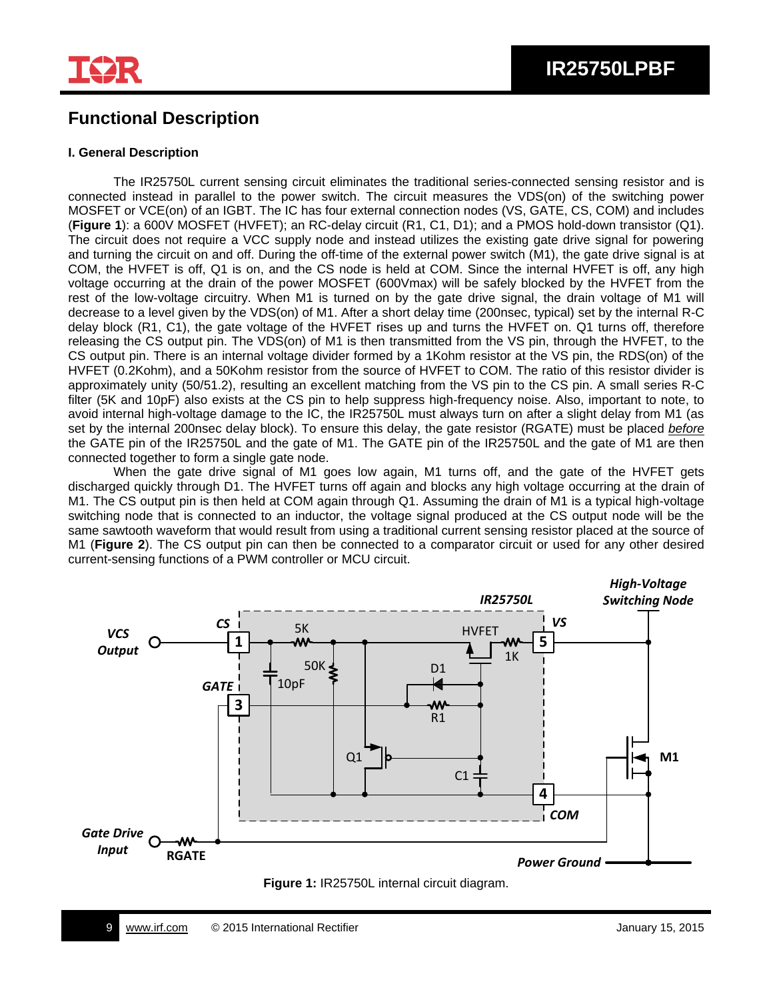

## **Functional Description**

#### **I. General Description**

The IR25750L current sensing circuit eliminates the traditional series-connected sensing resistor and is connected instead in parallel to the power switch. The circuit measures the VDS(on) of the switching power MOSFET or VCE(on) of an IGBT. The IC has four external connection nodes (VS, GATE, CS, COM) and includes (**Figure 1**): a 600V MOSFET (HVFET); an RC-delay circuit (R1, C1, D1); and a PMOS hold-down transistor (Q1). The circuit does not require a VCC supply node and instead utilizes the existing gate drive signal for powering and turning the circuit on and off. During the off-time of the external power switch (M1), the gate drive signal is at COM, the HVFET is off, Q1 is on, and the CS node is held at COM. Since the internal HVFET is off, any high voltage occurring at the drain of the power MOSFET (600Vmax) will be safely blocked by the HVFET from the rest of the low-voltage circuitry. When M1 is turned on by the gate drive signal, the drain voltage of M1 will decrease to a level given by the VDS(on) of M1. After a short delay time (200nsec, typical) set by the internal R-C delay block (R1, C1), the gate voltage of the HVFET rises up and turns the HVFET on. Q1 turns off, therefore releasing the CS output pin. The VDS(on) of M1 is then transmitted from the VS pin, through the HVFET, to the CS output pin. There is an internal voltage divider formed by a 1Kohm resistor at the VS pin, the RDS(on) of the HVFET (0.2Kohm), and a 50Kohm resistor from the source of HVFET to COM. The ratio of this resistor divider is approximately unity (50/51.2), resulting an excellent matching from the VS pin to the CS pin. A small series R-C filter (5K and 10pF) also exists at the CS pin to help suppress high-frequency noise. Also, important to note, to avoid internal high-voltage damage to the IC, the IR25750L must always turn on after a slight delay from M1 (as set by the internal 200nsec delay block). To ensure this delay, the gate resistor (RGATE) must be placed *before* the GATE pin of the IR25750L and the gate of M1. The GATE pin of the IR25750L and the gate of M1 are then connected together to form a single gate node.

When the gate drive signal of M1 goes low again, M1 turns off, and the gate of the HVFET gets discharged quickly through D1. The HVFET turns off again and blocks any high voltage occurring at the drain of M1. The CS output pin is then held at COM again through Q1. Assuming the drain of M1 is a typical high-voltage switching node that is connected to an inductor, the voltage signal produced at the CS output node will be the same sawtooth waveform that would result from using a traditional current sensing resistor placed at the source of M1 (**Figure 2**). The CS output pin can then be connected to a comparator circuit or used for any other desired current-sensing functions of a PWM controller or MCU circuit.



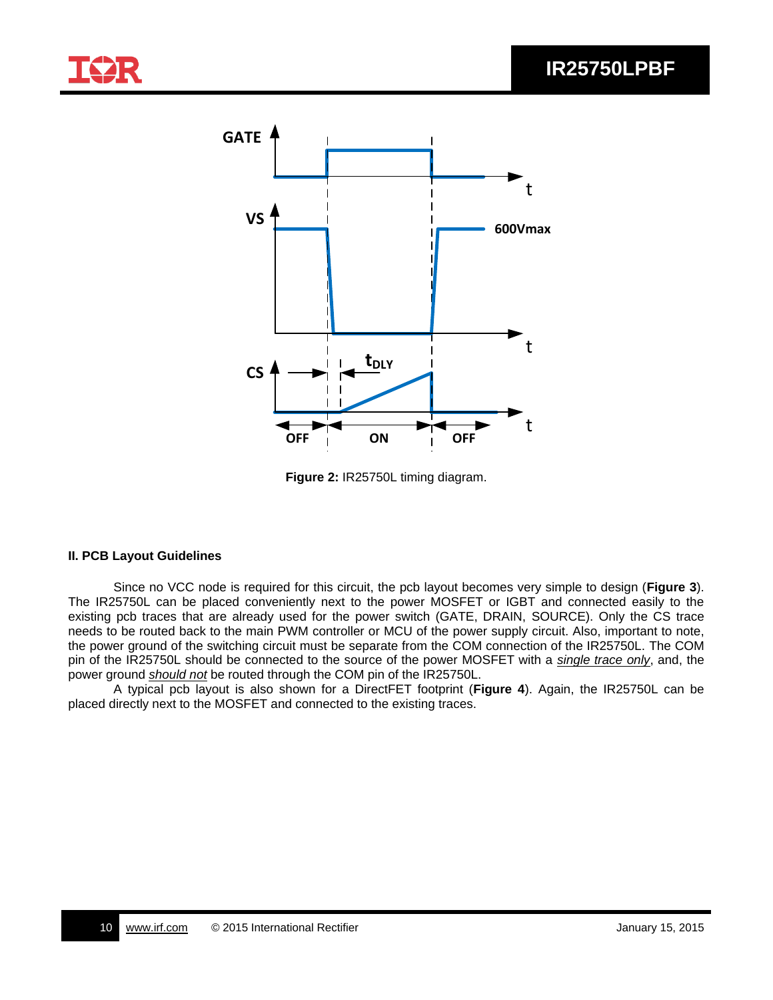

**Figure 2:** IR25750L timing diagram.

#### **II. PCB Layout Guidelines**

Since no VCC node is required for this circuit, the pcb layout becomes very simple to design (**Figure 3**). The IR25750L can be placed conveniently next to the power MOSFET or IGBT and connected easily to the existing pcb traces that are already used for the power switch (GATE, DRAIN, SOURCE). Only the CS trace needs to be routed back to the main PWM controller or MCU of the power supply circuit. Also, important to note, the power ground of the switching circuit must be separate from the COM connection of the IR25750L. The COM pin of the IR25750L should be connected to the source of the power MOSFET with a *single trace only*, and, the power ground *should not* be routed through the COM pin of the IR25750L.

A typical pcb layout is also shown for a DirectFET footprint (**Figure 4**). Again, the IR25750L can be placed directly next to the MOSFET and connected to the existing traces.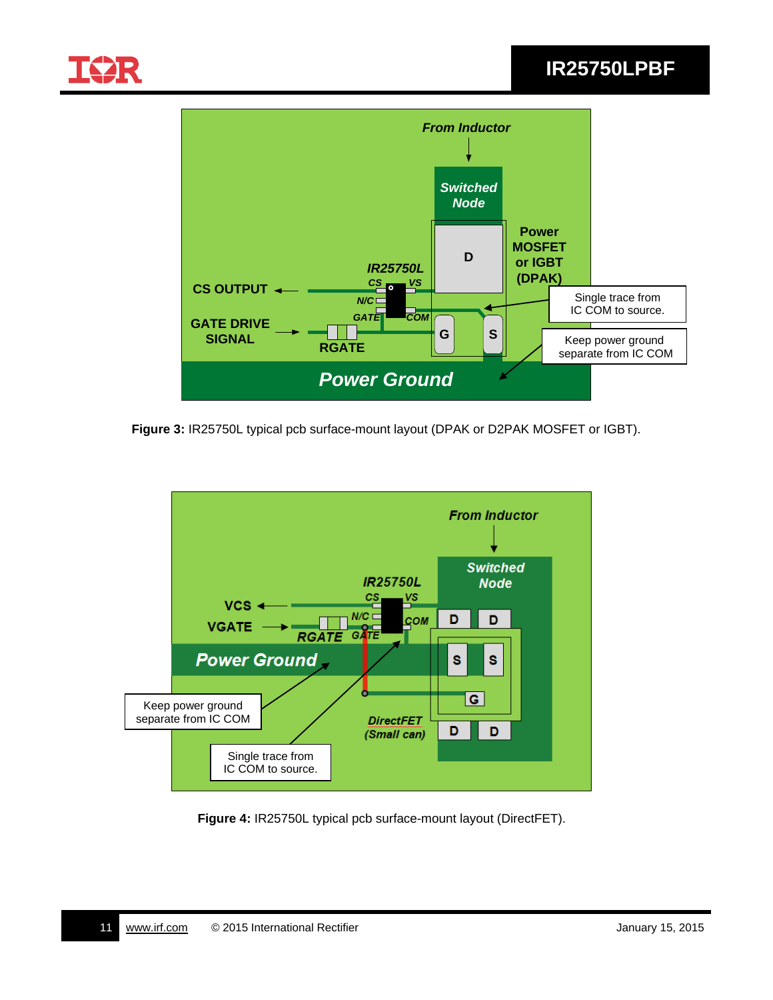

# **IR25750LPBF**



**Figure 3:** IR25750L typical pcb surface-mount layout (DPAK or D2PAK MOSFET or IGBT).



**Figure 4:** IR25750L typical pcb surface-mount layout (DirectFET).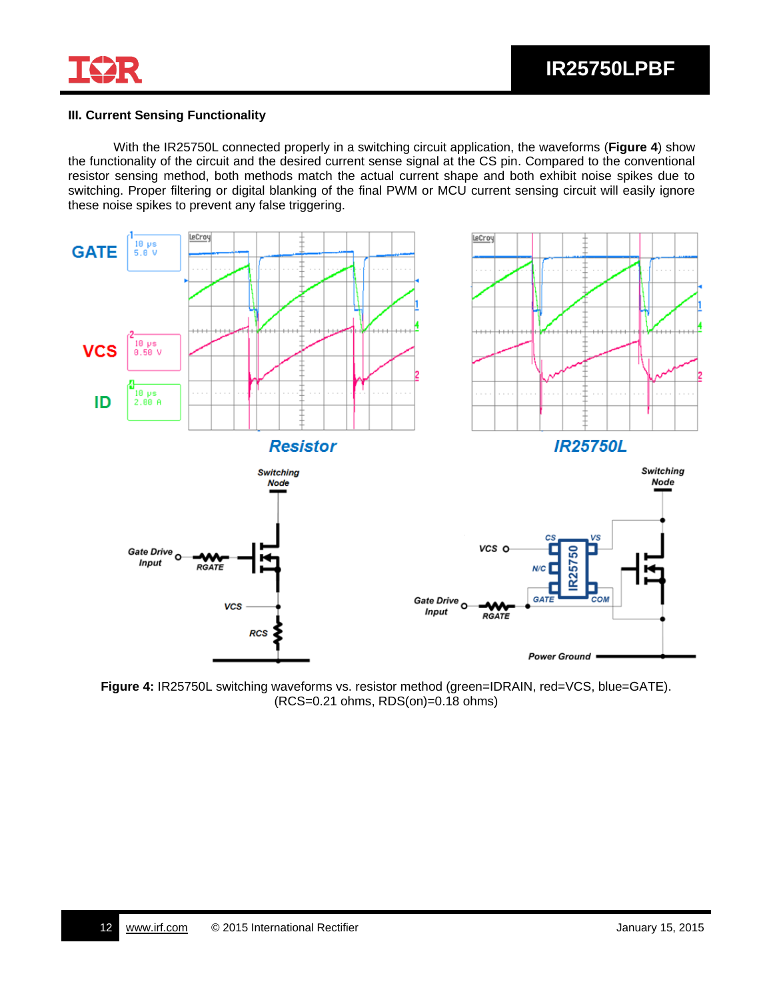

#### **III. Current Sensing Functionality**

With the IR25750L connected properly in a switching circuit application, the waveforms (**Figure 4**) show the functionality of the circuit and the desired current sense signal at the CS pin. Compared to the conventional resistor sensing method, both methods match the actual current shape and both exhibit noise spikes due to switching. Proper filtering or digital blanking of the final PWM or MCU current sensing circuit will easily ignore these noise spikes to prevent any false triggering.



**Figure 4:** IR25750L switching waveforms vs. resistor method (green=IDRAIN, red=VCS, blue=GATE). (RCS=0.21 ohms, RDS(on)=0.18 ohms)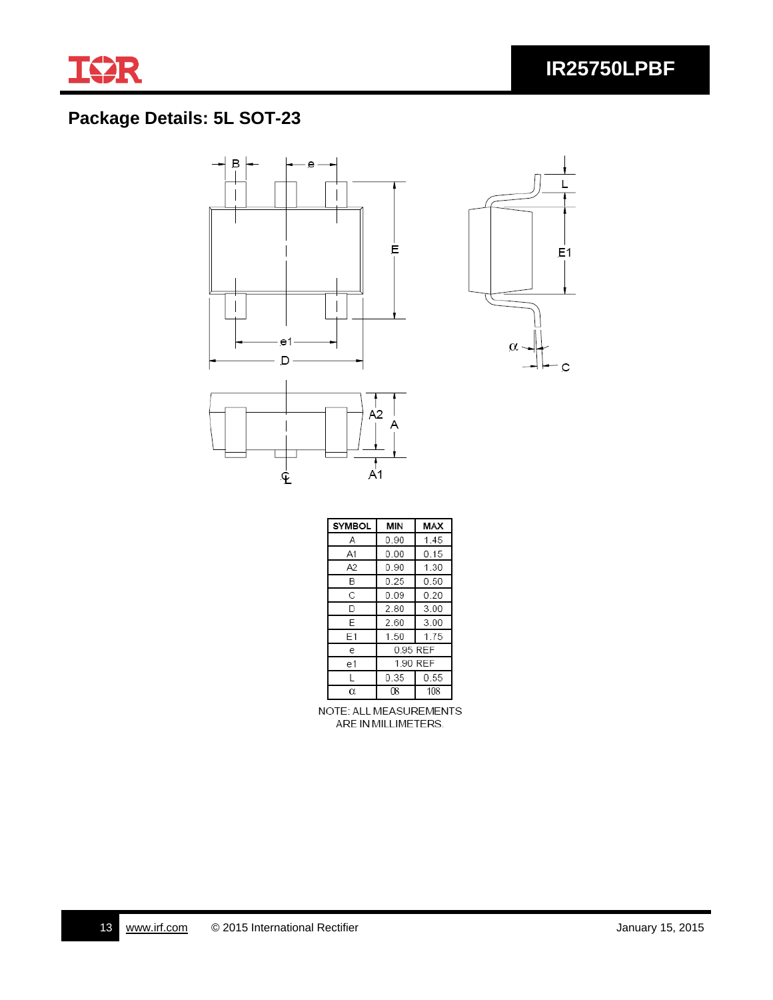

# **Package Details: 5L SOT-23**





| <b>SYMBOL</b> | <b>MIN</b> | MAX  |  |  |
|---------------|------------|------|--|--|
| А             | 0.90       | 1.45 |  |  |
| A1            | 0.00       | 0.15 |  |  |
| A2            | 0.90       | 1 30 |  |  |
| В             | 0.25       | 0.50 |  |  |
| С             | 0.09       | 0.20 |  |  |
| D             | 2.80       | 3.00 |  |  |
| F             | 2.60       | 3.00 |  |  |
| F1            | 1.50       | 1.75 |  |  |
| e             | 0.95 REF   |      |  |  |
| e1            | 1.90 REF   |      |  |  |
|               | 0.35       | 0.55 |  |  |
| α             | ſR         | 108  |  |  |

NOTE: ALL MEASUREMENTS ARE IN MILLIMETERS.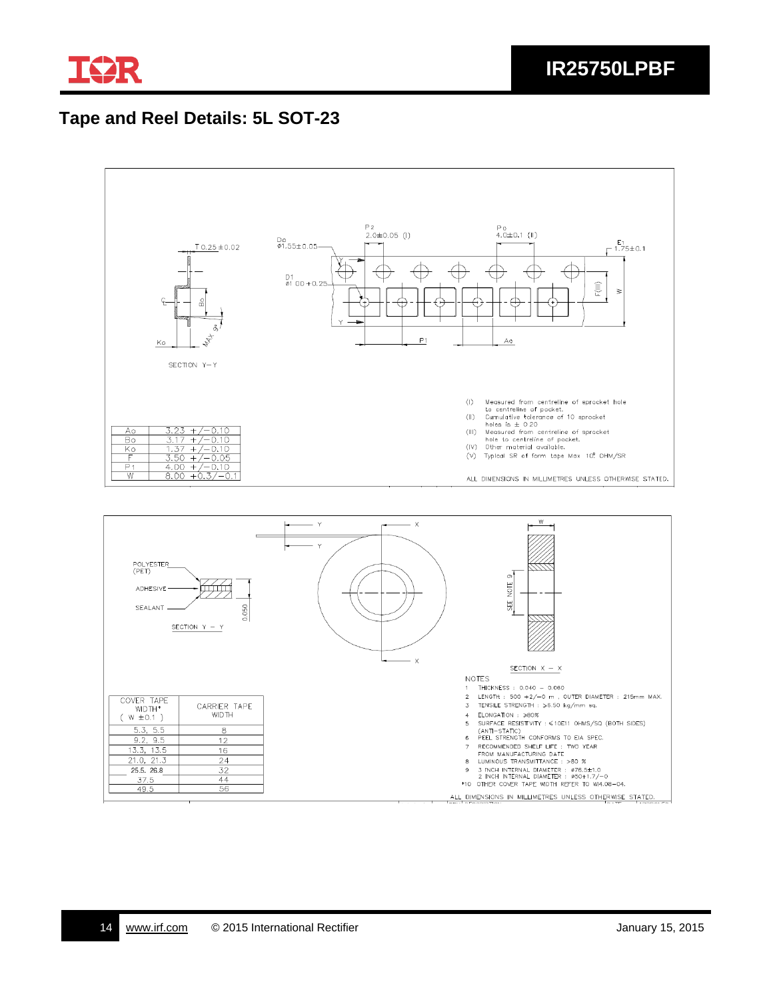

# **Tape and Reel Details: 5L SOT-23**



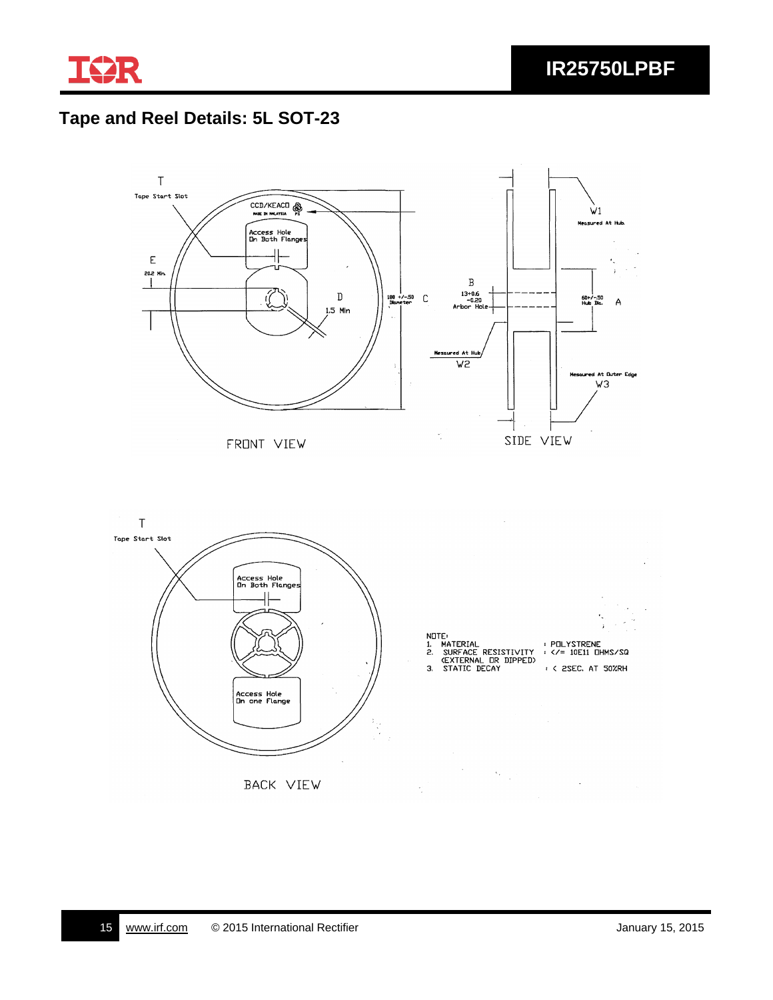

# **Tape and Reel Details: 5L SOT-23**

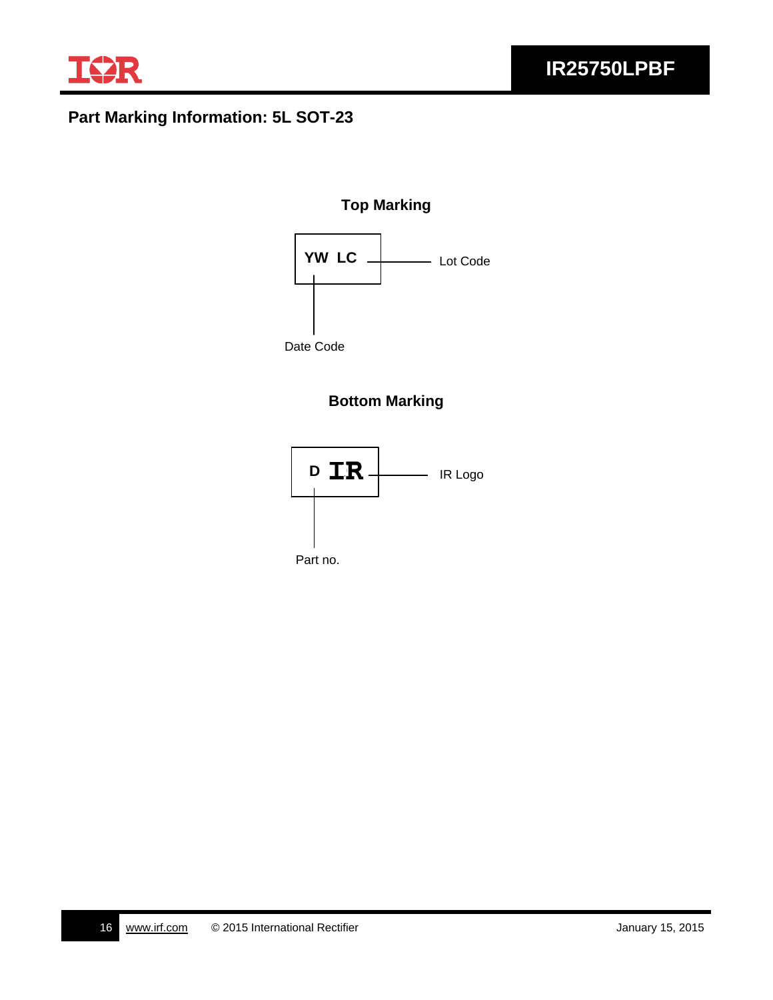

# **Part Marking Information: 5L SOT-23**

#### **Top Marking**



## **Bottom Marking**